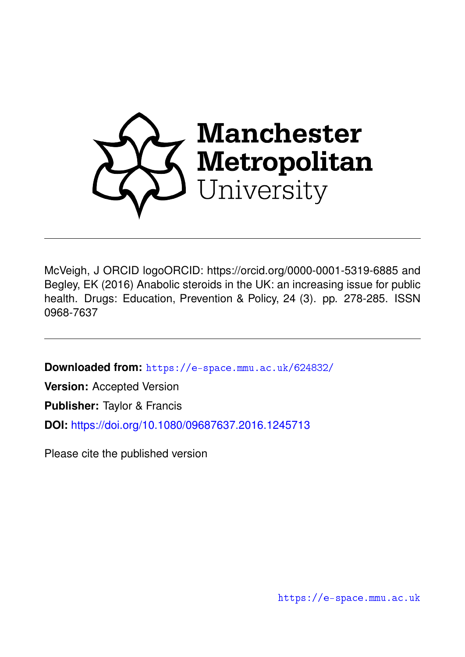

McVeigh, J ORCID logoORCID: https://orcid.org/0000-0001-5319-6885 and Begley, EK (2016) Anabolic steroids in the UK: an increasing issue for public health. Drugs: Education, Prevention & Policy, 24 (3). pp. 278-285. ISSN 0968-7637

**Downloaded from:** <https://e-space.mmu.ac.uk/624832/>

**Version:** Accepted Version

**Publisher:** Taylor & Francis

**DOI:** <https://doi.org/10.1080/09687637.2016.1245713>

Please cite the published version

<https://e-space.mmu.ac.uk>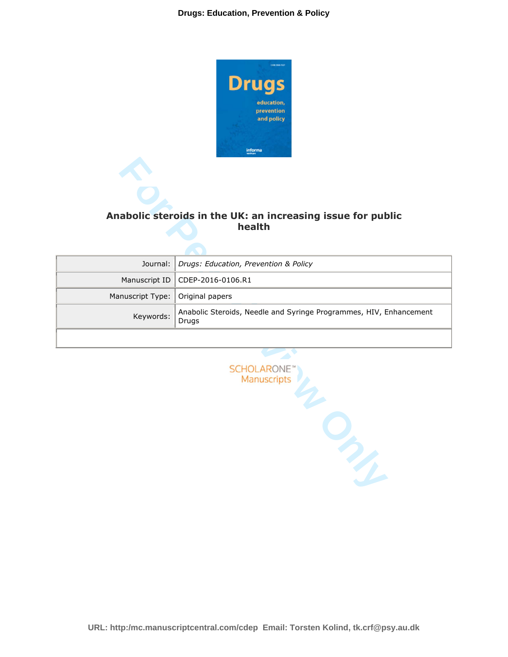

# **Anabolic steroids in the UK: an increasing issue for public health**

|                  | Anabolic steroids in the UK: an increasing issue for public<br>health       |
|------------------|-----------------------------------------------------------------------------|
| Journal:         | Drugs: Education, Prevention & Policy                                       |
| Manuscript ID    | CDEP-2016-0106.R1                                                           |
| Manuscript Type: | Original papers                                                             |
| Keywords:        | Anabolic Steroids, Needle and Syringe Programmes, HIV, Enhancement<br>Drugs |
|                  |                                                                             |
|                  | <b>SCHOLARONE</b><br>Manuscripts                                            |

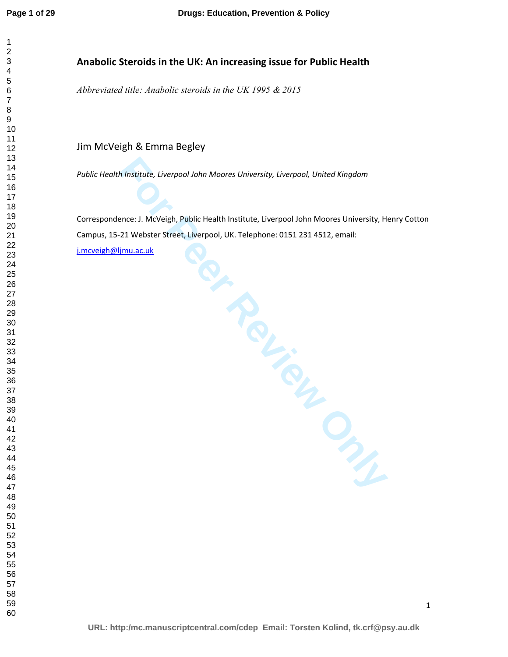# **Anabolic Steroids in the UK: An increasing issue for Public Health**

*Abbreviated title: Anabolic steroids in the UK 1995 & 2015* 

Jim McVeigh & Emma Begley

*Public Health Institute, Liverpool John Moores University, Liverpool, United Kingdom* 

Freath Institute Concernsity of the Proposition Concernsity of the Concernsity of the Concernsity of the Concernsity of Concernsity of the Concernsity of Concernsity of Concernsity of Concernsity of Concernsity of Concerns Correspondence: J. McVeigh, Public Health Institute, Liverpool John Moores University, Henry Cotton Campus, 15-21 Webster Street, Liverpool, UK. Telephone: 0151 231 4512, email:

j.mcveigh@ljmu.ac.uk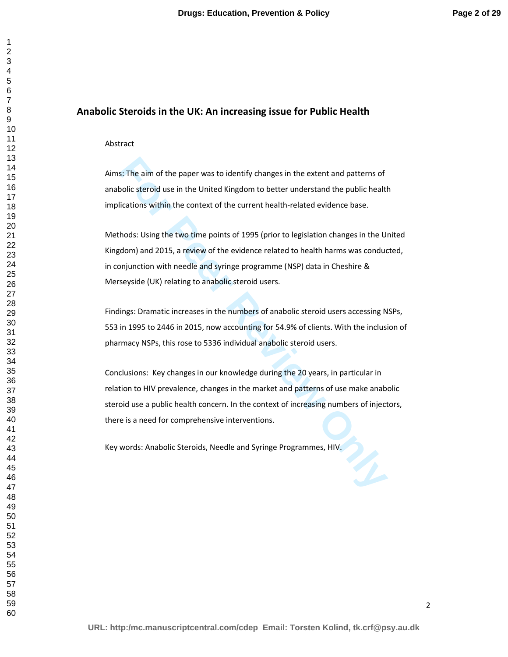# **Anabolic Steroids in the UK: An increasing issue for Public Health**

#### Abstract

Aims: The aim of the paper was to identify changes in the extent and patterns of anabolic steroid use in the United Kingdom to better understand the public health implications within the context of the current health-related evidence base.

**For Performal and The paper was to identify changes in the extent and patterns of polic steroid use in the United Kingdom to better understand the public healt<br>Iications within the context of the current health-related ev** Methods: Using the two time points of 1995 (prior to legislation changes in the United Kingdom) and 2015, a review of the evidence related to health harms was conducted, in conjunction with needle and syringe programme (NSP) data in Cheshire & Merseyside (UK) relating to anabolic steroid users.

Findings: Dramatic increases in the numbers of anabolic steroid users accessing NSPs, 553 in 1995 to 2446 in 2015, now accounting for 54.9% of clients. With the inclusion of pharmacy NSPs, this rose to 5336 individual anabolic steroid users.

Conclusions: Key changes in our knowledge during the 20 years, in particular in relation to HIV prevalence, changes in the market and patterns of use make anabolic steroid use a public health concern. In the context of increasing numbers of injectors, there is a need for comprehensive interventions.

Key words: Anabolic Steroids, Needle and Syringe Programmes, HIV.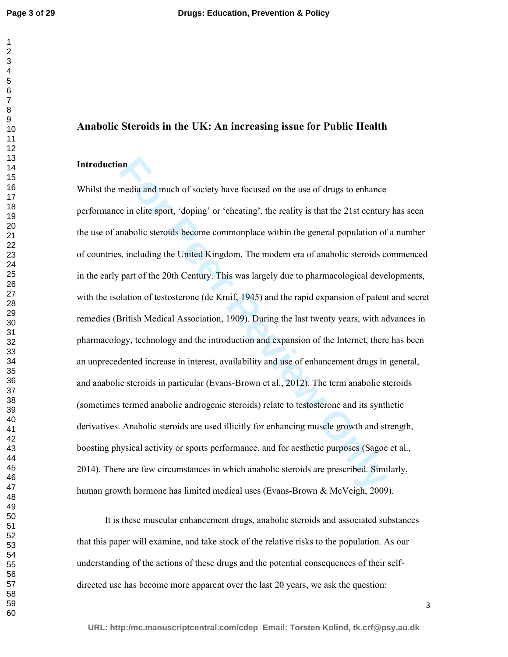# **Anabolic Steroids in the UK: An increasing issue for Public Health**

# **Introduction**

**Solution**<br> **Formalism** and much of society have focused on the use of drugs to enhance<br> **Evaluate** is einelite sport, 'doping' or 'cheating', the reality is that the 21st century<br> **Formalism** and the United Kingdom. The m Whilst the media and much of society have focused on the use of drugs to enhance performance in elite sport, 'doping' or 'cheating', the reality is that the 21st century has seen the use of anabolic steroids become commonplace within the general population of a number of countries, including the United Kingdom. The modern era of anabolic steroids commenced in the early part of the 20th Century. This was largely due to pharmacological developments, with the isolation of testosterone (de Kruif, 1945) and the rapid expansion of patent and secret remedies (British Medical Association, 1909). During the last twenty years, with advances in pharmacology, technology and the introduction and expansion of the Internet, there has been an unprecedented increase in interest, availability and use of enhancement drugs in general, and anabolic steroids in particular (Evans-Brown et al., 2012). The term anabolic steroids (sometimes termed anabolic androgenic steroids) relate to testosterone and its synthetic derivatives. Anabolic steroids are used illicitly for enhancing muscle growth and strength, boosting physical activity or sports performance, and for aesthetic purposes (Sagoe et al., 2014). There are few circumstances in which anabolic steroids are prescribed. Similarly, human growth hormone has limited medical uses (Evans-Brown & McVeigh, 2009).

It is these muscular enhancement drugs, anabolic steroids and associated substances that this paper will examine, and take stock of the relative risks to the population. As our understanding of the actions of these drugs and the potential consequences of their selfdirected use has become more apparent over the last 20 years, we ask the question: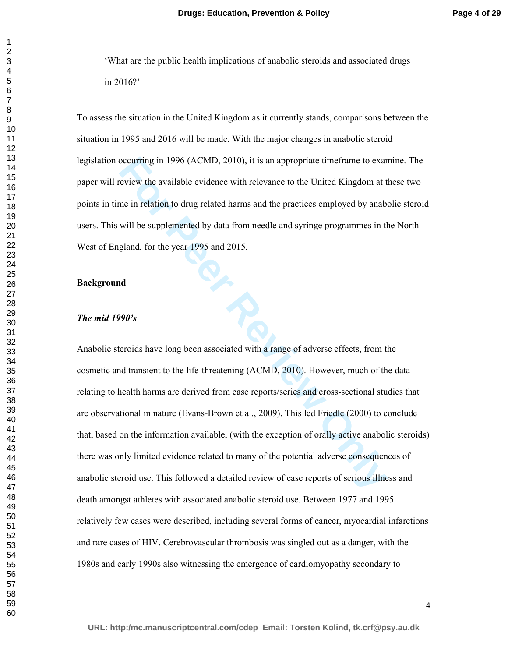'What are the public health implications of anabolic steroids and associated drugs in 2016?'

To assess the situation in the United Kingdom as it currently stands, comparisons between the situation in 1995 and 2016 will be made. With the major changes in anabolic steroid legislation occurring in 1996 (ACMD, 2010), it is an appropriate timeframe to examine. The paper will review the available evidence with relevance to the United Kingdom at these two points in time in relation to drug related harms and the practices employed by anabolic steroid users. This will be supplemented by data from needle and syringe programmes in the North West of England, for the year 1995 and 2015.

## **Background**

#### *The mid 1990's*

occurring in 1996 (ACMD, 2010), it is an appropriate timeframe to exar<br>
review the available evidence with relevance to the United Kingdom at t<br>
review the available evidence with relevance to the United Kingdom at t<br>
me i Anabolic steroids have long been associated with a range of adverse effects, from the cosmetic and transient to the life-threatening (ACMD, 2010). However, much of the data relating to health harms are derived from case reports/series and cross-sectional studies that are observational in nature (Evans-Brown et al., 2009). This led Friedle (2000) to conclude that, based on the information available, (with the exception of orally active anabolic steroids) there was only limited evidence related to many of the potential adverse consequences of anabolic steroid use. This followed a detailed review of case reports of serious illness and death amongst athletes with associated anabolic steroid use. Between 1977 and 1995 relatively few cases were described, including several forms of cancer, myocardial infarctions and rare cases of HIV. Cerebrovascular thrombosis was singled out as a danger, with the 1980s and early 1990s also witnessing the emergence of cardiomyopathy secondary to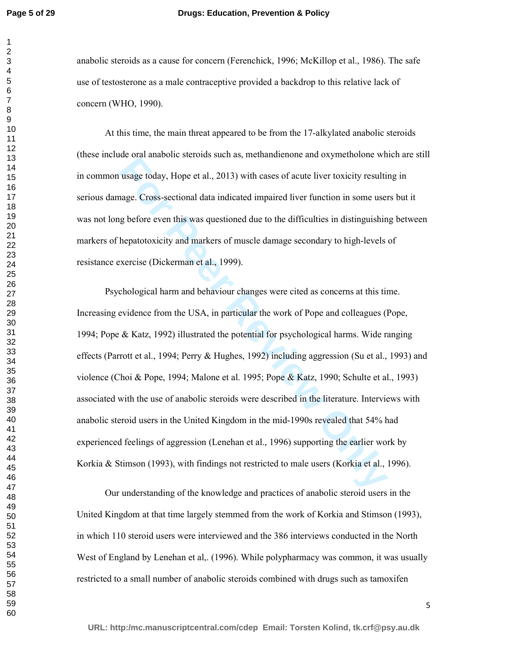**Page 5 of 29**

## **Drugs: Education, Prevention & Policy**

anabolic steroids as a cause for concern (Ferenchick, 1996; McKillop et al., 1986). The safe use of testosterone as a male contraceptive provided a backdrop to this relative lack of concern (WHO, 1990).

At this time, the main threat appeared to be from the 17-alkylated anabolic steroids (these include oral anabolic steroids such as, methandienone and oxymetholone which are still in common usage today, Hope et al., 2013) with cases of acute liver toxicity resulting in serious damage. Cross-sectional data indicated impaired liver function in some users but it was not long before even this was questioned due to the difficulties in distinguishing between markers of hepatotoxicity and markers of muscle damage secondary to high-levels of resistance exercise (Dickerman et al., 1999).

the our amosone steads such all, instantanealle that supprediosite on<br>
usage today, Hope et al., 2013) with cases of acute liver toxicity resulti<br>
nage. Cross-sectional data indicated impaired liver function in some use<br>
i Psychological harm and behaviour changes were cited as concerns at this time. Increasing evidence from the USA, in particular the work of Pope and colleagues (Pope, 1994; Pope & Katz, 1992) illustrated the potential for psychological harms. Wide ranging effects (Parrott et al., 1994; Perry & Hughes, 1992) including aggression (Su et al., 1993) and violence (Choi & Pope, 1994; Malone et al. 1995; Pope & Katz, 1990; Schulte et al., 1993) associated with the use of anabolic steroids were described in the literature. Interviews with anabolic steroid users in the United Kingdom in the mid-1990s revealed that 54% had experienced feelings of aggression (Lenehan et al., 1996) supporting the earlier work by Korkia & Stimson (1993), with findings not restricted to male users (Korkia et al., 1996).

Our understanding of the knowledge and practices of anabolic steroid users in the United Kingdom at that time largely stemmed from the work of Korkia and Stimson (1993), in which 110 steroid users were interviewed and the 386 interviews conducted in the North West of England by Lenehan et al., (1996). While polypharmacy was common, it was usually restricted to a small number of anabolic steroids combined with drugs such as tamoxifen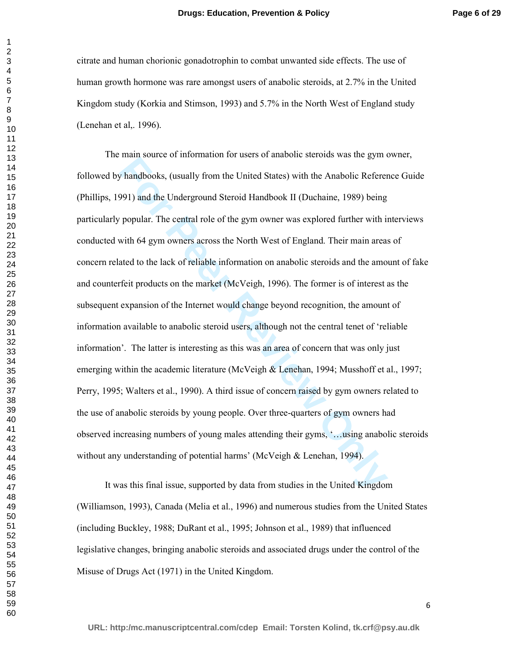citrate and human chorionic gonadotrophin to combat unwanted side effects. The use of human growth hormone was rare amongst users of anabolic steroids, at 2.7% in the United Kingdom study (Korkia and Stimson, 1993) and 5.7% in the North West of England study (Lenehan et al,. 1996).

Ham source of internation for asets of anatome sterests was are gont whandbooks, (usually from the United States) with the Anabolic Referer 991) and the Underground Steroid Handbook II (Duchaine, 1989) being popular. The c The main source of information for users of anabolic steroids was the gym owner, followed by handbooks, (usually from the United States) with the Anabolic Reference Guide (Phillips, 1991) and the Underground Steroid Handbook II (Duchaine, 1989) being particularly popular. The central role of the gym owner was explored further with interviews conducted with 64 gym owners across the North West of England. Their main areas of concern related to the lack of reliable information on anabolic steroids and the amount of fake and counterfeit products on the market (McVeigh, 1996). The former is of interest as the subsequent expansion of the Internet would change beyond recognition, the amount of information available to anabolic steroid users, although not the central tenet of 'reliable information'. The latter is interesting as this was an area of concern that was only just emerging within the academic literature (McVeigh & Lenehan, 1994; Musshoff et al., 1997; Perry, 1995; Walters et al., 1990). A third issue of concern raised by gym owners related to the use of anabolic steroids by young people. Over three-quarters of gym owners had observed increasing numbers of young males attending their gyms, '…using anabolic steroids without any understanding of potential harms' (McVeigh & Lenehan, 1994).

It was this final issue, supported by data from studies in the United Kingdom (Williamson, 1993), Canada (Melia et al., 1996) and numerous studies from the United States (including Buckley, 1988; DuRant et al., 1995; Johnson et al., 1989) that influenced legislative changes, bringing anabolic steroids and associated drugs under the control of the Misuse of Drugs Act (1971) in the United Kingdom.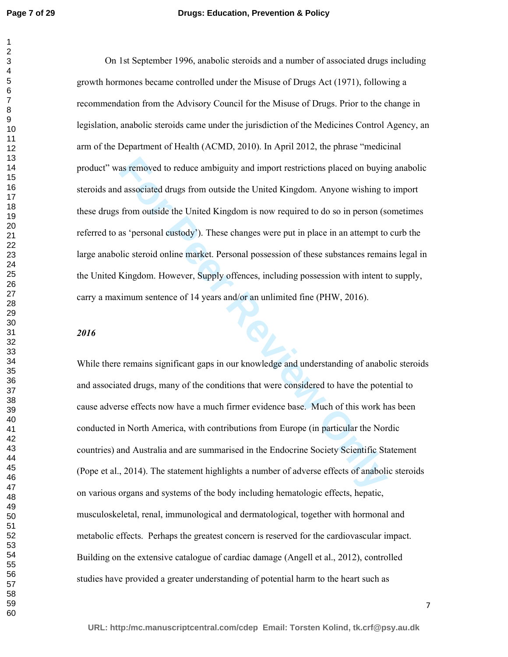### **Drugs: Education, Prevention & Policy**

as removed to reduce ambiguity and import restrictions placed on buyind associated drugs from outside the United Kingdom. Anyone wishing to from outside the United Kingdom is now required to do so in person (so as 'persona On 1st September 1996, anabolic steroids and a number of associated drugs including growth hormones became controlled under the Misuse of Drugs Act (1971), following a recommendation from the Advisory Council for the Misuse of Drugs. Prior to the change in legislation, anabolic steroids came under the jurisdiction of the Medicines Control Agency, an arm of the Department of Health (ACMD, 2010). In April 2012, the phrase "medicinal product" was removed to reduce ambiguity and import restrictions placed on buying anabolic steroids and associated drugs from outside the United Kingdom. Anyone wishing to import these drugs from outside the United Kingdom is now required to do so in person (sometimes referred to as 'personal custody'). These changes were put in place in an attempt to curb the large anabolic steroid online market. Personal possession of these substances remains legal in the United Kingdom. However, Supply offences, including possession with intent to supply, carry a maximum sentence of 14 years and/or an unlimited fine (PHW, 2016).

# 

While there remains significant gaps in our knowledge and understanding of anabolic steroids and associated drugs, many of the conditions that were considered to have the potential to cause adverse effects now have a much firmer evidence base. Much of this work has been conducted in North America, with contributions from Europe (in particular the Nordic countries) and Australia and are summarised in the Endocrine Society Scientific Statement (Pope et al., 2014). The statement highlights a number of adverse effects of anabolic steroids on various organs and systems of the body including hematologic effects, hepatic, musculoskeletal, renal, immunological and dermatological, together with hormonal and metabolic effects. Perhaps the greatest concern is reserved for the cardiovascular impact. Building on the extensive catalogue of cardiac damage (Angell et al., 2012), controlled studies have provided a greater understanding of potential harm to the heart such as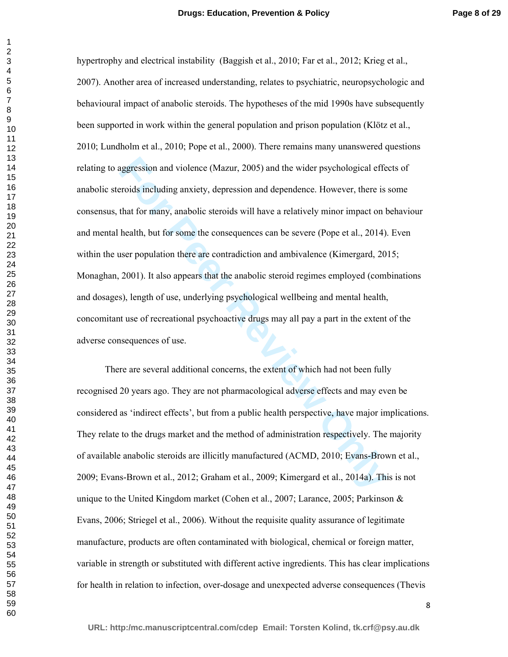**Example 20** and violence (Mazur, 2005) and the wider psychological efferoids including anxiety, depression and dependence. However, there is that for many, anabolic steroids will have a relatively minor impact on the heal hypertrophy and electrical instability (Baggish et al., 2010; Far et al., 2012; Krieg et al., 2007). Another area of increased understanding, relates to psychiatric, neuropsychologic and behavioural impact of anabolic steroids. The hypotheses of the mid 1990s have subsequently been supported in work within the general population and prison population (Klötz et al., 2010; Lundholm et al., 2010; Pope et al., 2000). There remains many unanswered questions relating to aggression and violence (Mazur, 2005) and the wider psychological effects of anabolic steroids including anxiety, depression and dependence. However, there is some consensus, that for many, anabolic steroids will have a relatively minor impact on behaviour and mental health, but for some the consequences can be severe (Pope et al., 2014). Even within the user population there are contradiction and ambivalence (Kimergard, 2015; Monaghan, 2001). It also appears that the anabolic steroid regimes employed (combinations and dosages), length of use, underlying psychological wellbeing and mental health, concomitant use of recreational psychoactive drugs may all pay a part in the extent of the adverse consequences of use.

There are several additional concerns, the extent of which had not been fully recognised 20 years ago. They are not pharmacological adverse effects and may even be considered as 'indirect effects', but from a public health perspective, have major implications. They relate to the drugs market and the method of administration respectively. The majority of available anabolic steroids are illicitly manufactured (ACMD, 2010; Evans-Brown et al., 2009; Evans-Brown et al., 2012; Graham et al., 2009; Kimergard et al., 2014a). This is not unique to the United Kingdom market (Cohen et al., 2007; Larance, 2005; Parkinson & Evans, 2006; Striegel et al., 2006). Without the requisite quality assurance of legitimate manufacture, products are often contaminated with biological, chemical or foreign matter, variable in strength or substituted with different active ingredients. This has clear implications for health in relation to infection, over-dosage and unexpected adverse consequences (Thevis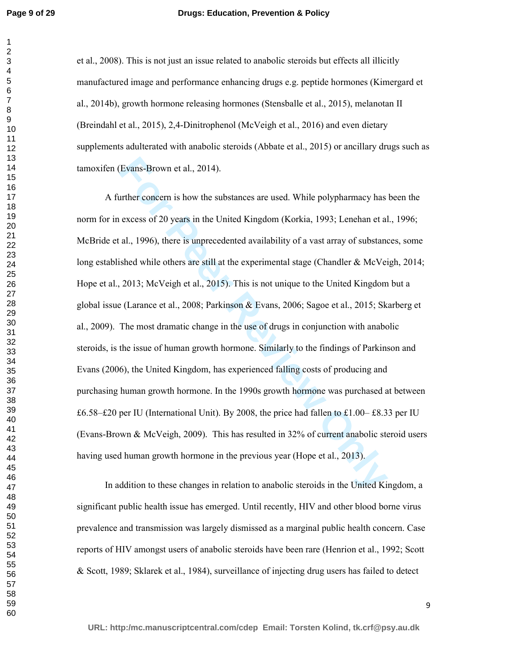### **Drugs: Education, Prevention & Policy**

et al., 2008). This is not just an issue related to anabolic steroids but effects all illicitly manufactured image and performance enhancing drugs e.g. peptide hormones (Kimergard et al., 2014b), growth hormone releasing hormones (Stensballe et al., 2015), melanotan II (Breindahl et al., 2015), 2,4-Dinitrophenol (McVeigh et al., 2016) and even dietary supplements adulterated with anabolic steroids (Abbate et al., 2015) or ancillary drugs such as tamoxifen (Evans-Brown et al., 2014).

For Perance Head, 2014).<br>
Inter concern is how the substances are used. While polypharmacy has<br>
excess of 20 years in the United Kingdom (Korkia, 1993; Lenehan et al<br>
al., 1996), there is unprecedented availability of a va A further concern is how the substances are used. While polypharmacy has been the norm for in excess of 20 years in the United Kingdom (Korkia, 1993; Lenehan et al., 1996; McBride et al., 1996), there is unprecedented availability of a vast array of substances, some long established while others are still at the experimental stage (Chandler & McVeigh, 2014; Hope et al., 2013; McVeigh et al., 2015). This is not unique to the United Kingdom but a global issue (Larance et al., 2008; Parkinson & Evans, 2006; Sagoe et al., 2015; Skarberg et al., 2009). The most dramatic change in the use of drugs in conjunction with anabolic steroids, is the issue of human growth hormone. Similarly to the findings of Parkinson and Evans (2006), the United Kingdom, has experienced falling costs of producing and purchasing human growth hormone. In the 1990s growth hormone was purchased at between £6.58–£20 per IU (International Unit). By 2008, the price had fallen to £1.00– £8.33 per IU (Evans-Brown & McVeigh, 2009). This has resulted in 32% of current anabolic steroid users having used human growth hormone in the previous year (Hope et al., 2013).

In addition to these changes in relation to anabolic steroids in the United Kingdom, a significant public health issue has emerged. Until recently, HIV and other blood borne virus prevalence and transmission was largely dismissed as a marginal public health concern. Case reports of HIV amongst users of anabolic steroids have been rare (Henrion et al., 1992; Scott & Scott, 1989; Sklarek et al., 1984), surveillance of injecting drug users has failed to detect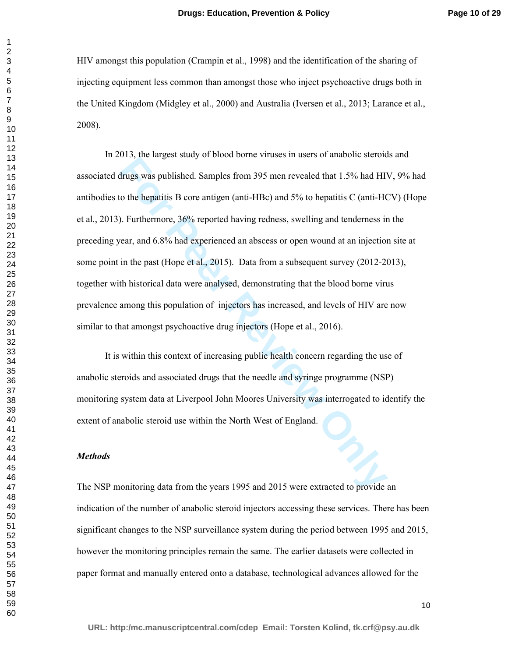HIV amongst this population (Crampin et al., 1998) and the identification of the sharing of injecting equipment less common than amongst those who inject psychoactive drugs both in the United Kingdom (Midgley et al., 2000) and Australia (Iversen et al., 2013; Larance et al., 2008).

For the hangest state) of obset of the Masso In about States of the States.<br> **Hrugs was published.** Samples from 395 men revealed that 1.5% had HIT to the hepatitis B core antigen (anti-HBc) and 5% to hepatitis C (anti-HG) In 2013, the largest study of blood borne viruses in users of anabolic steroids and associated drugs was published. Samples from 395 men revealed that 1.5% had HIV, 9% had antibodies to the hepatitis B core antigen (anti-HBc) and 5% to hepatitis C (anti-HCV) (Hope et al., 2013). Furthermore, 36% reported having redness, swelling and tenderness in the preceding year, and 6.8% had experienced an abscess or open wound at an injection site at some point in the past (Hope et al., 2015). Data from a subsequent survey (2012-2013), together with historical data were analysed, demonstrating that the blood borne virus prevalence among this population of injectors has increased, and levels of HIV are now similar to that amongst psychoactive drug injectors (Hope et al., 2016).

It is within this context of increasing public health concern regarding the use of anabolic steroids and associated drugs that the needle and syringe programme (NSP) monitoring system data at Liverpool John Moores University was interrogated to identify the extent of anabolic steroid use within the North West of England.

# *Methods*

The NSP monitoring data from the years 1995 and 2015 were extracted to provide an indication of the number of anabolic steroid injectors accessing these services. There has been significant changes to the NSP surveillance system during the period between 1995 and 2015, however the monitoring principles remain the same. The earlier datasets were collected in paper format and manually entered onto a database, technological advances allowed for the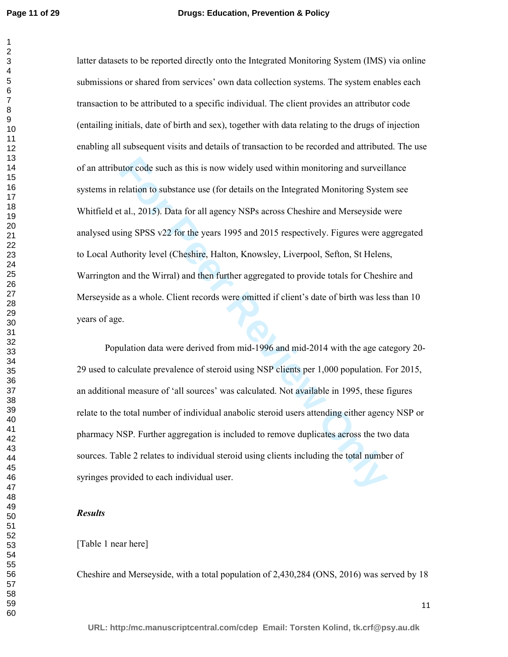the rode such as this is now widely used within monitoring and surveill<br> **For Formal** Felation to substance use (for details on the Integrated Monitoring System<br> **For Formal Felation** on the Integrated Monitoring System<br> latter datasets to be reported directly onto the Integrated Monitoring System (IMS) via online submissions or shared from services' own data collection systems. The system enables each transaction to be attributed to a specific individual. The client provides an attributor code (entailing initials, date of birth and sex), together with data relating to the drugs of injection enabling all subsequent visits and details of transaction to be recorded and attributed. The use of an attributor code such as this is now widely used within monitoring and surveillance systems in relation to substance use (for details on the Integrated Monitoring System see Whitfield et al., 2015). Data for all agency NSPs across Cheshire and Merseyside were analysed using SPSS v22 for the years 1995 and 2015 respectively. Figures were aggregated to Local Authority level (Cheshire, Halton, Knowsley, Liverpool, Sefton, St Helens, Warrington and the Wirral) and then further aggregated to provide totals for Cheshire and Merseyside as a whole. Client records were omitted if client's date of birth was less than 10 years of age. Population data were derived from mid-1996 and mid-2014 with the age category 20-

29 used to calculate prevalence of steroid using NSP clients per 1,000 population. For 2015, an additional measure of 'all sources' was calculated. Not available in 1995, these figures relate to the total number of individual anabolic steroid users attending either agency NSP or pharmacy NSP. Further aggregation is included to remove duplicates across the two data sources. Table 2 relates to individual steroid using clients including the total number of syringes provided to each individual user.

## *Results*

## [Table 1 near here]

Cheshire and Merseyside, with a total population of 2,430,284 (ONS, 2016) was served by 18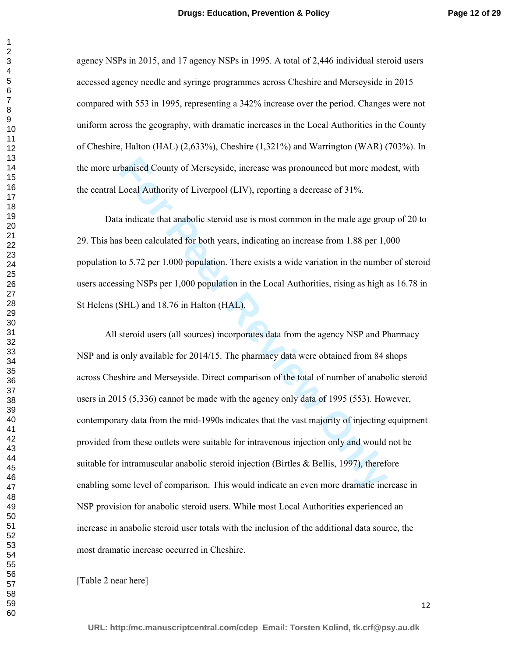agency NSPs in 2015, and 17 agency NSPs in 1995. A total of 2,446 individual steroid users accessed agency needle and syringe programmes across Cheshire and Merseyside in 2015 compared with 553 in 1995, representing a 342% increase over the period. Changes were not uniform across the geography, with dramatic increases in the Local Authorities in the County of Cheshire, Halton (HAL) (2,633%), Cheshire (1,321%) and Warrington (WAR) (703%). In the more urbanised County of Merseyside, increase was pronounced but more modest, with the central Local Authority of Liverpool (LIV), reporting a decrease of 31%.

Data indicate that anabolic steroid use is most common in the male age group of 20 to 29. This has been calculated for both years, indicating an increase from 1.88 per 1,000 population to 5.72 per 1,000 population. There exists a wide variation in the number of steroid users accessing NSPs per 1,000 population in the Local Authorities, rising as high as 16.78 in St Helens (SHL) and 18.76 in Halton (HAL).

banised County of Merseyside, increase was pronounced but more mod<br>Local Authority of Liverpool (LIV), reporting a decrease of 31%.<br>a indicate that anabolic steroid use is most common in the male age grous<br>been calculated All steroid users (all sources) incorporates data from the agency NSP and Pharmacy NSP and is only available for 2014/15. The pharmacy data were obtained from 84 shops across Cheshire and Merseyside. Direct comparison of the total of number of anabolic steroid users in 2015 (5,336) cannot be made with the agency only data of 1995 (553). However, contemporary data from the mid-1990s indicates that the vast majority of injecting equipment provided from these outlets were suitable for intravenous injection only and would not be suitable for intramuscular anabolic steroid injection (Birtles & Bellis, 1997), therefore enabling some level of comparison. This would indicate an even more dramatic increase in NSP provision for anabolic steroid users. While most Local Authorities experienced an increase in anabolic steroid user totals with the inclusion of the additional data source, the most dramatic increase occurred in Cheshire.

[Table 2 near here]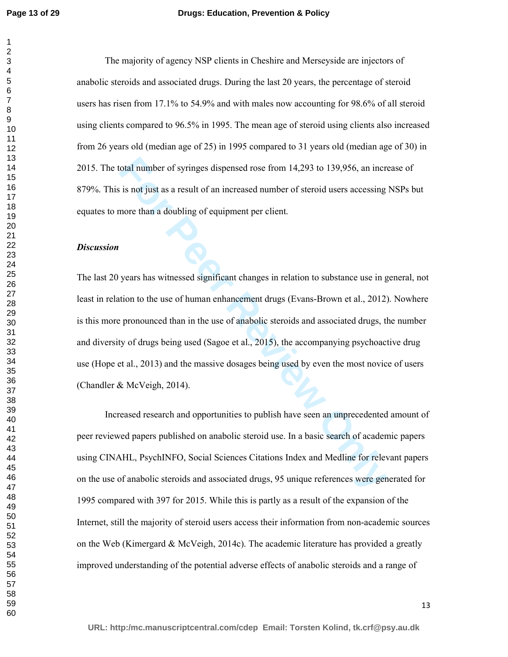### **Drugs: Education, Prevention & Policy**

The majority of agency NSP clients in Cheshire and Merseyside are injectors of anabolic steroids and associated drugs. During the last 20 years, the percentage of steroid users has risen from 17.1% to 54.9% and with males now accounting for 98.6% of all steroid using clients compared to 96.5% in 1995. The mean age of steroid using clients also increased from 26 years old (median age of 25) in 1995 compared to 31 years old (median age of 30) in 2015. The total number of syringes dispensed rose from 14,293 to 139,956, an increase of 879%. This is not just as a result of an increased number of steroid users accessing NSPs but equates to more than a doubling of equipment per client.

#### *Discussion*

otal number of syringes dispensed rose from 14,293 to 139,956, an increase is not just as a result of an increased number of steroid users accessing more than a doubling of equipment per client.<br>
years has witnessed signif The last 20 years has witnessed significant changes in relation to substance use in general, not least in relation to the use of human enhancement drugs (Evans-Brown et al., 2012). Nowhere is this more pronounced than in the use of anabolic steroids and associated drugs, the number and diversity of drugs being used (Sagoe et al., 2015), the accompanying psychoactive drug use (Hope et al., 2013) and the massive dosages being used by even the most novice of users (Chandler & McVeigh, 2014).

Increased research and opportunities to publish have seen an unprecedented amount of peer reviewed papers published on anabolic steroid use. In a basic search of academic papers using CINAHL, PsychINFO, Social Sciences Citations Index and Medline for relevant papers on the use of anabolic steroids and associated drugs, 95 unique references were generated for 1995 compared with 397 for 2015. While this is partly as a result of the expansion of the Internet, still the majority of steroid users access their information from non-academic sources on the Web (Kimergard  $\&$  McVeigh, 2014c). The academic literature has provided a greatly improved understanding of the potential adverse effects of anabolic steroids and a range of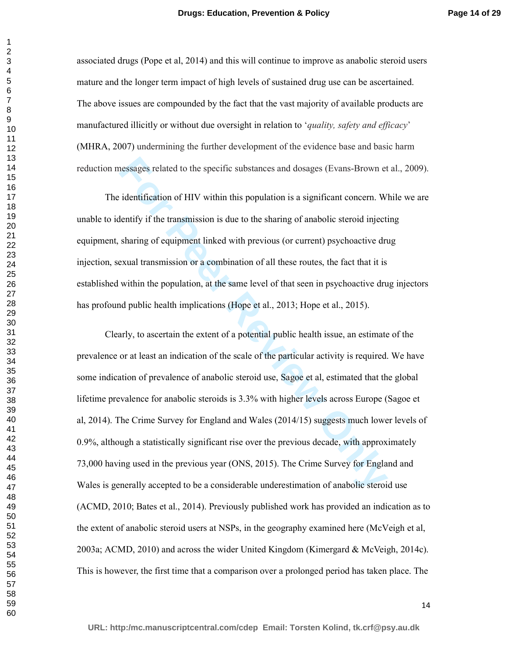associated drugs (Pope et al, 2014) and this will continue to improve as anabolic steroid users mature and the longer term impact of high levels of sustained drug use can be ascertained. The above issues are compounded by the fact that the vast majority of available products are manufactured illicitly or without due oversight in relation to '*quality, safety and efficacy*' (MHRA, 2007) undermining the further development of the evidence base and basic harm reduction messages related to the specific substances and dosages (Evans-Brown et al., 2009).

The identification of HIV within this population is a significant concern. While we are unable to identify if the transmission is due to the sharing of anabolic steroid injecting equipment, sharing of equipment linked with previous (or current) psychoactive drug injection, sexual transmission or a combination of all these routes, the fact that it is established within the population, at the same level of that seen in psychoactive drug injectors has profound public health implications (Hope et al., 2013; Hope et al., 2015).

ressages related to the specific substances and dosages (Evans-Brown et identification of HIV within this population is a significant concern. We lentify if the transmission is due to the sharing of anabolic steroid inject Clearly, to ascertain the extent of a potential public health issue, an estimate of the prevalence or at least an indication of the scale of the particular activity is required. We have some indication of prevalence of anabolic steroid use, Sagoe et al, estimated that the global lifetime prevalence for anabolic steroids is 3.3% with higher levels across Europe (Sagoe et al, 2014). The Crime Survey for England and Wales (2014/15) suggests much lower levels of 0.9%, although a statistically significant rise over the previous decade, with approximately 73,000 having used in the previous year (ONS, 2015). The Crime Survey for England and Wales is generally accepted to be a considerable underestimation of anabolic steroid use (ACMD, 2010; Bates et al., 2014). Previously published work has provided an indication as to the extent of anabolic steroid users at NSPs, in the geography examined here (McVeigh et al, 2003a; ACMD, 2010) and across the wider United Kingdom (Kimergard & McVeigh, 2014c). This is however, the first time that a comparison over a prolonged period has taken place. The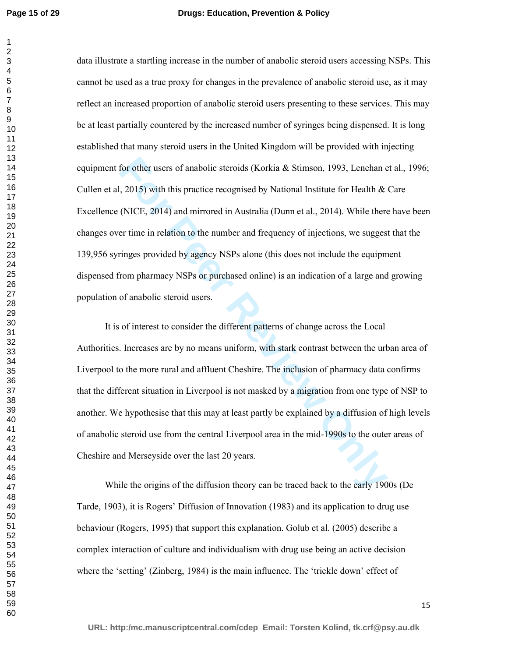for other users of anabolic steroids (Korkia & Stimson, 1993, Lenehan e<br>1, 2015) with this practice recognised by National Institute for Health &<br>(NICE, 2014) and mirrored in Australia (Dunn et al., 2014). While there<br>r ti data illustrate a startling increase in the number of anabolic steroid users accessing NSPs. This cannot be used as a true proxy for changes in the prevalence of anabolic steroid use, as it may reflect an increased proportion of anabolic steroid users presenting to these services. This may be at least partially countered by the increased number of syringes being dispensed. It is long established that many steroid users in the United Kingdom will be provided with injecting equipment for other users of anabolic steroids (Korkia & Stimson, 1993, Lenehan et al., 1996; Cullen et al, 2015) with this practice recognised by National Institute for Health & Care Excellence (NICE, 2014) and mirrored in Australia (Dunn et al., 2014). While there have been changes over time in relation to the number and frequency of injections, we suggest that the 139,956 syringes provided by agency NSPs alone (this does not include the equipment dispensed from pharmacy NSPs or purchased online) is an indication of a large and growing population of anabolic steroid users.

It is of interest to consider the different patterns of change across the Local Authorities. Increases are by no means uniform, with stark contrast between the urban area of Liverpool to the more rural and affluent Cheshire. The inclusion of pharmacy data confirms that the different situation in Liverpool is not masked by a migration from one type of NSP to another. We hypothesise that this may at least partly be explained by a diffusion of high levels of anabolic steroid use from the central Liverpool area in the mid-1990s to the outer areas of Cheshire and Merseyside over the last 20 years.

While the origins of the diffusion theory can be traced back to the early 1900s (De Tarde, 1903), it is Rogers' Diffusion of Innovation (1983) and its application to drug use behaviour (Rogers, 1995) that support this explanation. Golub et al. (2005) describe a complex interaction of culture and individualism with drug use being an active decision where the 'setting' (Zinberg, 1984) is the main influence. The 'trickle down' effect of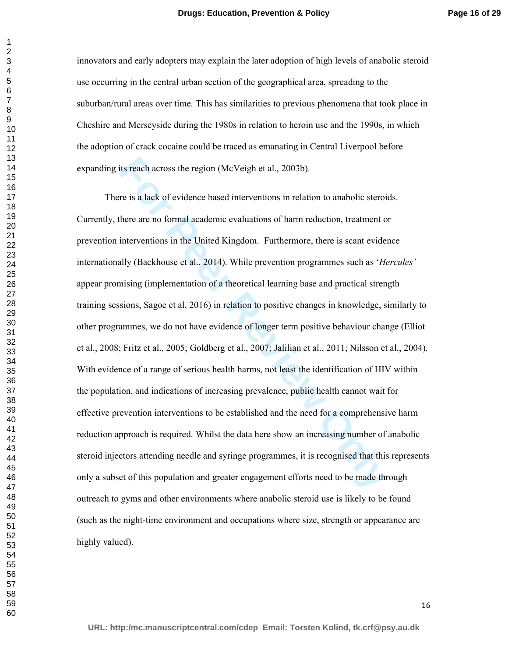innovators and early adopters may explain the later adoption of high levels of anabolic steroid use occurring in the central urban section of the geographical area, spreading to the suburban/rural areas over time. This has similarities to previous phenomena that took place in Cheshire and Merseyside during the 1980s in relation to heroin use and the 1990s, in which the adoption of crack cocaine could be traced as emanating in Central Liverpool before expanding its reach across the region (McVeigh et al., 2003b).

its reach across the region (McVeigh et al., 2003b).<br>
The is a lack of evidence based interventions in relation to anabolic steroi-<br>
there are no formal academic evaluations of harm reduction, treatment of<br>
interventions i There is a lack of evidence based interventions in relation to anabolic steroids. Currently, there are no formal academic evaluations of harm reduction, treatment or prevention interventions in the United Kingdom. Furthermore, there is scant evidence internationally (Backhouse et al., 2014). While prevention programmes such as '*Hercules'* appear promising (implementation of a theoretical learning base and practical strength training sessions, Sagoe et al, 2016) in relation to positive changes in knowledge, similarly to other programmes, we do not have evidence of longer term positive behaviour change (Elliot et al., 2008; Fritz et al., 2005; Goldberg et al., 2007; Jalilian et al., 2011; Nilsson et al., 2004). With evidence of a range of serious health harms, not least the identification of HIV within the population, and indications of increasing prevalence, public health cannot wait for effective prevention interventions to be established and the need for a comprehensive harm reduction approach is required. Whilst the data here show an increasing number of anabolic steroid injectors attending needle and syringe programmes, it is recognised that this represents only a subset of this population and greater engagement efforts need to be made through outreach to gyms and other environments where anabolic steroid use is likely to be found (such as the night-time environment and occupations where size, strength or appearance are highly valued).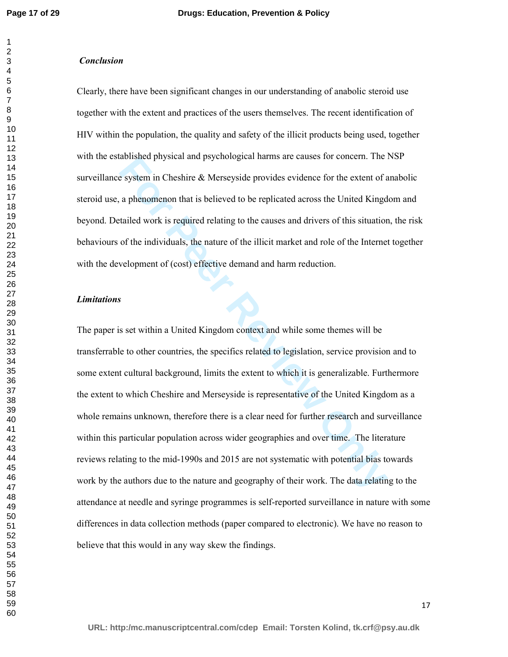#### *Conclusion*

Clearly, there have been significant changes in our understanding of anabolic steroid use together with the extent and practices of the users themselves. The recent identification of HIV within the population, the quality and safety of the illicit products being used, together with the established physical and psychological harms are causes for concern. The NSP surveillance system in Cheshire & Merseyside provides evidence for the extent of anabolic steroid use, a phenomenon that is believed to be replicated across the United Kingdom and beyond. Detailed work is required relating to the causes and drivers of this situation, the risk behaviours of the individuals, the nature of the illicit market and role of the Internet together with the development of (cost) effective demand and harm reduction.

#### *Limitations*

abushed physical and psychological hall as are causes for concern. The<br>e system in Cheshire & Merseyside provides evidence for the extent of  $\epsilon$ <br>a phenomenon that is believed to be replicated across the United Kingd<br>taile The paper is set within a United Kingdom context and while some themes will be transferrable to other countries, the specifics related to legislation, service provision and to some extent cultural background, limits the extent to which it is generalizable. Furthermore the extent to which Cheshire and Merseyside is representative of the United Kingdom as a whole remains unknown, therefore there is a clear need for further research and surveillance within this particular population across wider geographies and over time. The literature reviews relating to the mid-1990s and 2015 are not systematic with potential bias towards work by the authors due to the nature and geography of their work. The data relating to the attendance at needle and syringe programmes is self-reported surveillance in nature with some differences in data collection methods (paper compared to electronic). We have no reason to believe that this would in any way skew the findings.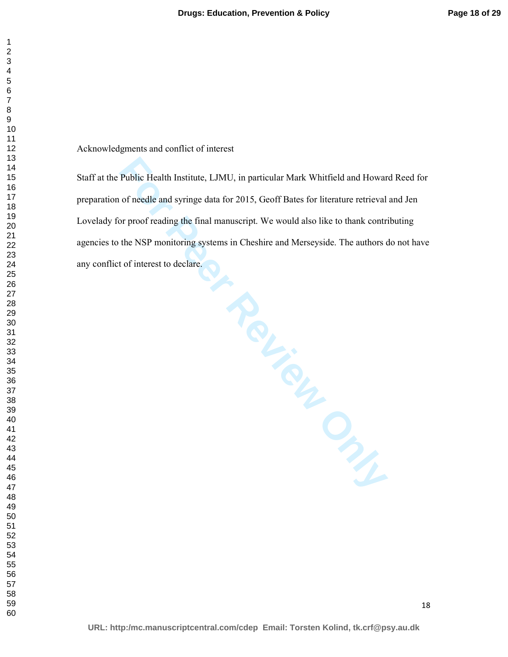Acknowledgments and conflict of interest

Worderdame. Staff at the Public Health Institute, LJMU, in particular Mark Whitfield and Howard Reed for preparation of needle and syringe data for 2015, Geoff Bates for literature retrieval and Jen Lovelady for proof reading the final manuscript. We would also like to thank contributing agencies to the NSP monitoring systems in Cheshire and Merseyside. The authors do not have any conflict of interest to declare.

**URL: http:/mc.manuscriptcentral.com/cdep Email: Torsten Kolind, tk.crf@psy.au.dk**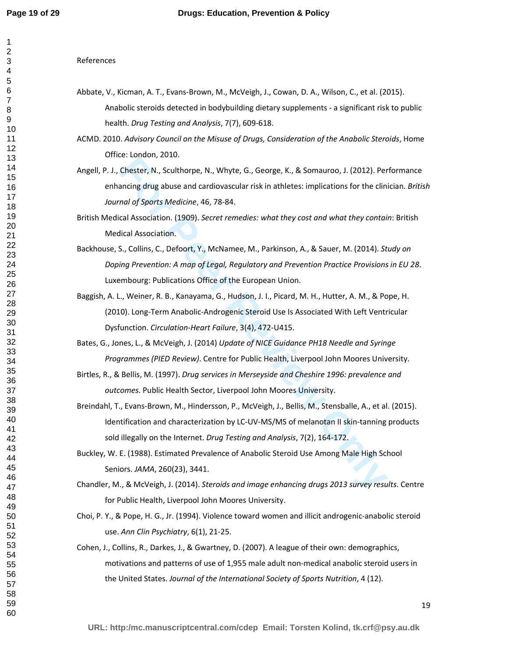References

- Abbate, V., Kicman, A. T., Evans-Brown, M., McVeigh, J., Cowan, D. A., Wilson, C., et al. (2015). Anabolic steroids detected in bodybuilding dietary supplements - a significant risk to public health. *Drug Testing and Analysis*, 7(7), 609-618.
- ACMD. 2010. *Advisory Council on the Misuse of Drugs, Consideration of the Anabolic Steroids*, Home Office: London, 2010.
- Angell, P. J., Chester, N., Sculthorpe, N., Whyte, G., George, K., & Somauroo, J. (2012). Performance enhancing drug abuse and cardiovascular risk in athletes: implications for the clinician. *British Journal of Sports Medicine*, 46, 78-84.
- British Medical Association. (1909). *Secret remedies: what they cost and what they contain*: British Medical Association.
- Backhouse, S., Collins, C., Defoort, Y., McNamee, M., Parkinson, A., & Sauer, M. (2014). *Study on Doping Prevention: A map of Legal, Regulatory and Prevention Practice Provisions in EU 28*. Luxembourg: Publications Office of the European Union.
- C. Londor, 2001.<br>Chester, N., Sculthorpe, N., Whyte, G., George, K., & Somauroo, J. (2012). Per<br>Chester, N., Sculthorpe, N., Whyte, G., George, K., & Somauroo, J. (2012). Per<br>ancing drug abuse and cardiovascular risk in at Baggish, A. L., Weiner, R. B., Kanayama, G., Hudson, J. I., Picard, M. H., Hutter, A. M., & Pope, H. (2010). Long-Term Anabolic-Androgenic Steroid Use Is Associated With Left Ventricular Dysfunction. *Circulation-Heart Failure*, 3(4), 472-U415.
- Bates, G., Jones, L., & McVeigh, J. (2014) *Update of NICE Guidance PH18 Needle and Syringe Programmes (PIED Review)*. Centre for Public Health, Liverpool John Moores University.
- Birtles, R., & Bellis, M. (1997). *Drug services in Merseyside and Cheshire 1996: prevalence and outcomes*. Public Health Sector, Liverpool John Moores University.
- Breindahl, T., Evans-Brown, M., Hindersson, P., McVeigh, J., Bellis, M., Stensballe, A., et al. (2015). Identification and characterization by LC-UV-MS/MS of melanotan II skin-tanning products sold illegally on the Internet. *Drug Testing and Analysis*, 7(2), 164-172.
- Buckley, W. E. (1988). Estimated Prevalence of Anabolic Steroid Use Among Male High School Seniors. *JAMA*, 260(23), 3441.
- Chandler, M., & McVeigh, J. (2014). *Steroids and image enhancing drugs 2013 survey results*. Centre for Public Health, Liverpool John Moores University.
- Choi, P. Y., & Pope, H. G., Jr. (1994). Violence toward women and illicit androgenic-anabolic steroid use. *Ann Clin Psychiatry*, 6(1), 21-25.
- Cohen, J., Collins, R., Darkes, J., & Gwartney, D. (2007). A league of their own: demographics, motivations and patterns of use of 1,955 male adult non-medical anabolic steroid users in the United States. *Journal of the International Society of Sports Nutrition*, 4 (12).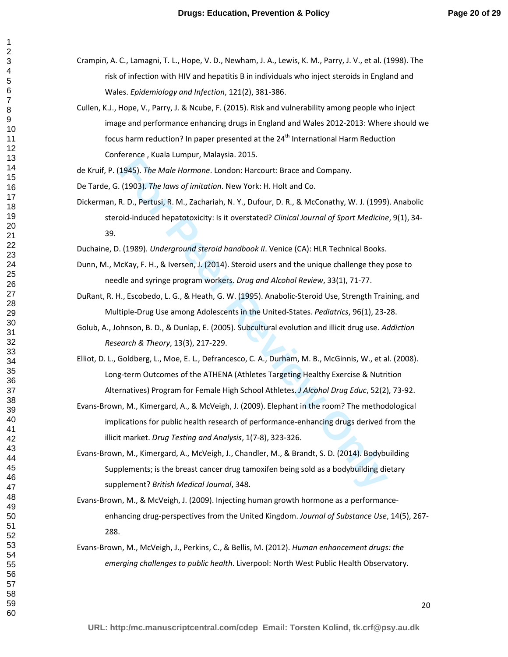- Crampin, A. C., Lamagni, T. L., Hope, V. D., Newham, J. A., Lewis, K. M., Parry, J. V., et al. (1998). The risk of infection with HIV and hepatitis B in individuals who inject steroids in England and Wales. *Epidemiology and Infection*, 121(2), 381-386.
- Cullen, K.J., Hope, V., Parry, J. & Ncube, F. (2015). Risk and vulnerability among people who inject image and performance enhancing drugs in England and Wales 2012-2013: Where should we focus harm reduction? In paper presented at the  $24<sup>th</sup>$  International Harm Reduction Conference , Kuala Lumpur, Malaysia. 2015.
- de Kruif, P. (1945). *The Male Hormone*. London: Harcourt: Brace and Company.
- De Tarde, G. (1903). *The laws of imitation*. New York: H. Holt and Co.
- **Etchick, Konder Control, The Methamic Polon (Fig. 2013)**<br> **For Peer Revier Procession** C. The Material on The Condon Hard Co. R. D., Pertusi, R. M., Zachariah, N. Y., Dufour, D. R., & McConathy, W. J. (1999)<br>
Did-induced Dickerman, R. D., Pertusi, R. M., Zachariah, N. Y., Dufour, D. R., & McConathy, W. J. (1999). Anabolic steroid-induced hepatotoxicity: Is it overstated? *Clinical Journal of Sport Medicine*, 9(1), 34- 39.
- Duchaine, D. (1989). *Underground steroid handbook II*. Venice (CA): HLR Technical Books.
- Dunn, M., McKay, F. H., & Iversen, J. (2014). Steroid users and the unique challenge they pose to needle and syringe program workers. *Drug and Alcohol Review*, 33(1), 71-77.
- DuRant, R. H., Escobedo, L. G., & Heath, G. W. (1995). Anabolic-Steroid Use, Strength Training, and Multiple-Drug Use among Adolescents in the United-States. *Pediatrics*, 96(1), 23-28.
- Golub, A., Johnson, B. D., & Dunlap, E. (2005). Subcultural evolution and illicit drug use. *Addiction Research & Theory*, 13(3), 217-229.
- Elliot, D. L., Goldberg, L., Moe, E. L., Defrancesco, C. A., Durham, M. B., McGinnis, W., et al. (2008). Long-term Outcomes of the ATHENA (Athletes Targeting Healthy Exercise & Nutrition Alternatives) Program for Female High School Athletes. *J Alcohol Drug Educ*, 52(2), 73-92.
- Evans-Brown, M., Kimergard, A., & McVeigh, J. (2009). Elephant in the room? The methodological implications for public health research of performance-enhancing drugs derived from the illicit market. *Drug Testing and Analysis*, 1(7-8), 323-326.
- Evans-Brown, M., Kimergard, A., McVeigh, J., Chandler, M., & Brandt, S. D. (2014). Bodybuilding Supplements; is the breast cancer drug tamoxifen being sold as a bodybuilding dietary supplement? *British Medical Journal*, 348.
- Evans-Brown, M., & McVeigh, J. (2009). Injecting human growth hormone as a performanceenhancing drug-perspectives from the United Kingdom. *Journal of Substance Use*, 14(5), 267- 288.
- Evans-Brown, M., McVeigh, J., Perkins, C., & Bellis, M. (2012). *Human enhancement drugs: the emerging challenges to public health*. Liverpool: North West Public Health Observatory.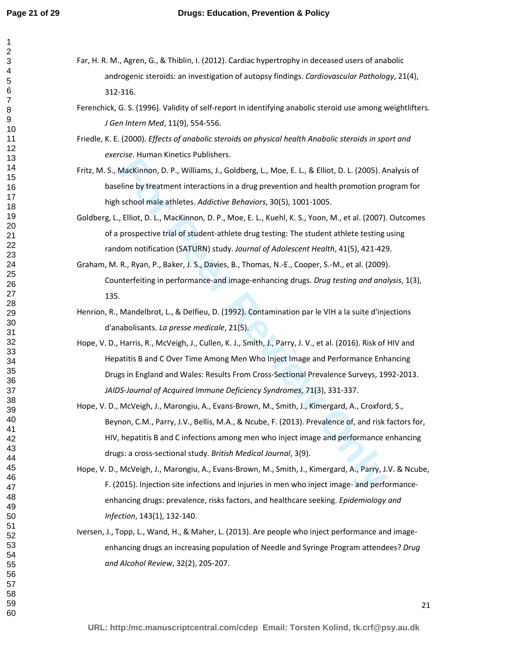- Far, H. R. M., Agren, G., & Thiblin, I. (2012). Cardiac hypertrophy in deceased users of anabolic androgenic steroids: an investigation of autopsy findings. *Cardiovascular Pathology*, 21(4), 312-316.
	- Ferenchick, G. S. (1996). Validity of self-report in identifying anabolic steroid use among weightlifters. *J Gen Intern Med*, 11(9), 554-556.
	- Friedle, K. E. (2000). *Effects of anabolic steroids on physical health Anabolic steroids in sport and exercise*. Human Kinetics Publishers.
	- Fritz, M. S., MacKinnon, D. P., Williams, J., Goldberg, L., Moe, E. L., & Elliot, D. L. (2005). Analysis of baseline by treatment interactions in a drug prevention and health promotion program for high school male athletes. *Addictive Behaviors*, 30(5), 1001-1005.
	- Goldberg, L., Elliot, D. L., MacKinnon, D. P., Moe, E. L., Kuehl, K. S., Yoon, M., et al. (2007). Outcomes of a prospective trial of student-athlete drug testing: The student athlete testing using random notification (SATURN) study. *Journal of Adolescent Health*, 41(5), 421-429.
	- Graham, M. R., Ryan, P., Baker, J. S., Davies, B., Thomas, N.-E., Cooper, S.-M., et al. (2009). Counterfeiting in performance-and image-enhancing drugs. *Drug testing and analysis*, 1(3), 135.
	- Henrion, R., Mandelbrot, L., & Delfieu, D. (1992). Contamination par le VIH a la suite d'injections d'anabolisants. *La presse medicale*, 21(5).
	- Exaction memetration, J.C. Goldberg, L., Moe, E. L., & Elliot, D. L. (2005). A<br>MacKinnon, D. P., Williams, J., Goldberg, L., Moe, E. L., & Elliot, D. L. (2005). A<br>sline by treatment interactions in a drug prevention and he Hope, V. D., Harris, R., McVeigh, J., Cullen, K. J., Smith, J., Parry, J. V., et al. (2016). Risk of HIV and Hepatitis B and C Over Time Among Men Who Inject Image and Performance Enhancing Drugs in England and Wales: Results From Cross-Sectional Prevalence Surveys, 1992-2013. *JAIDS-Journal of Acquired Immune Deficiency Syndromes*, 71(3), 331-337.
	- Hope, V. D., McVeigh, J., Marongiu, A., Evans-Brown, M., Smith, J., Kimergard, A., Croxford, S., Beynon, C.M., Parry, J.V., Bellis, M.A., & Ncube, F. (2013). Prevalence of, and risk factors for, HIV, hepatitis B and C infections among men who inject image and performance enhancing drugs: a cross-sectional study. *British Medical Journal*, 3(9).
	- Hope, V. D., McVeigh, J., Marongiu, A., Evans-Brown, M., Smith, J., Kimergard, A., Parry, J.V. & Ncube, F. (2015). Injection site infections and injuries in men who inject image- and performanceenhancing drugs: prevalence, risks factors, and healthcare seeking. *Epidemiology and Infection*, 143(1), 132-140.
	- Iversen, J., Topp, L., Wand, H., & Maher, L. (2013). Are people who inject performance and imageenhancing drugs an increasing population of Needle and Syringe Program attendees? *Drug and Alcohol Review*, 32(2), 205-207.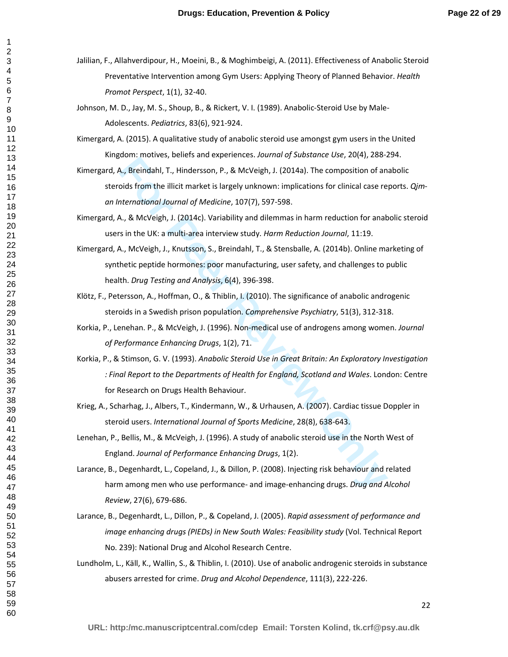- Jalilian, F., Allahverdipour, H., Moeini, B., & Moghimbeigi, A. (2011). Effectiveness of Anabolic Steroid Preventative Intervention among Gym Users: Applying Theory of Planned Behavior. *Health Promot Perspect*, 1(1), 32-40.
- Johnson, M. D., Jay, M. S., Shoup, B., & Rickert, V. I. (1989). Anabolic-Steroid Use by Male-Adolescents. *Pediatrics*, 83(6), 921-924.
- Kimergard, A. (2015). A qualitative study of anabolic steroid use amongst gym users in the United Kingdom: motives, beliefs and experiences. *Journal of Substance Use*, 20(4), 288-294.
- Kimergard, A., Breindahl, T., Hindersson, P., & McVeigh, J. (2014a). The composition of anabolic steroids from the illicit market is largely unknown: implications for clinical case reports. *Qjman International Journal of Medicine*, 107(7), 597-598.
- Kimergard, A., & McVeigh, J. (2014c). Variability and dilemmas in harm reduction for anabolic steroid users in the UK: a multi-area interview study. *Harm Reduction Journal*, 11:19.
- Kimergard, A., McVeigh, J., Knutsson, S., Breindahl, T., & Stensballe, A. (2014b). Online marketing of synthetic peptide hormones: poor manufacturing, user safety, and challenges to public health. *Drug Testing and Analysis*, 6(4), 396-398.
- Klötz, F., Petersson, A., Hoffman, O., & Thiblin, I. (2010). The significance of anabolic androgenic steroids in a Swedish prison population. *Comprehensive Psychiatry*, 51(3), 312-318.
- Korkia, P., Lenehan. P., & McVeigh, J. (1996). Non-medical use of androgens among women. *Journal of Performance Enhancing Drugs*, 1(2), 71.
- **Examinal Constraint Control Constraint Constraint Constraint Constraint Constraint Constraint Constraint Constraint Constraint Constraint Constraint Constraint Constraint Constraint Constraint Constraint Constraint Constr** Korkia, P., & Stimson, G. V. (1993). *Anabolic Steroid Use in Great Britain: An Exploratory Investigation : Final Report to the Departments of Health for England, Scotland and Wales*. London: Centre for Research on Drugs Health Behaviour.
- Krieg, A., Scharhag, J., Albers, T., Kindermann, W., & Urhausen, A. (2007). Cardiac tissue Doppler in steroid users. *International Journal of Sports Medicine*, 28(8), 638-643.
- Lenehan, P., Bellis, M., & McVeigh, J. (1996). A study of anabolic steroid use in the North West of England. *Journal of Performance Enhancing Drugs*, 1(2).
- Larance, B., Degenhardt, L., Copeland, J., & Dillon, P. (2008). Injecting risk behaviour and related harm among men who use performance- and image-enhancing drugs. *Drug and Alcohol Review*, 27(6), 679-686.
- Larance, B., Degenhardt, L., Dillon, P., & Copeland, J. (2005). *Rapid assessment of performance and image enhancing drugs (PIEDs) in New South Wales: Feasibility study* (Vol. Technical Report No. 239): National Drug and Alcohol Research Centre.
- Lundholm, L., Käll, K., Wallin, S., & Thiblin, I. (2010). Use of anabolic androgenic steroids in substance abusers arrested for crime. *Drug and Alcohol Dependence*, 111(3), 222-226.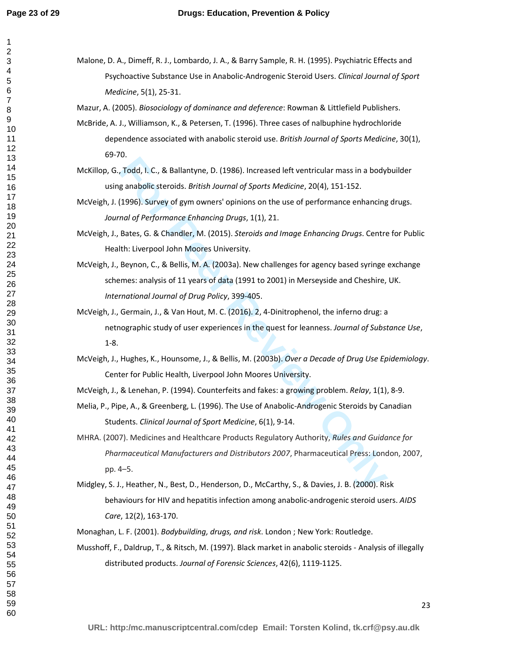Malone, D. A., Dimeff, R. J., Lombardo, J. A., & Barry Sample, R. H. (1995). Psychiatric Effects and Psychoactive Substance Use in Anabolic-Androgenic Steroid Users. *Clinical Journal of Sport Medicine*, 5(1), 25-31.

Mazur, A. (2005). *Biosociology of dominance and deference*: Rowman & Littlefield Publishers.

- McBride, A. J., Williamson, K., & Petersen, T. (1996). Three cases of nalbuphine hydrochloride dependence associated with anabolic steroid use. *British Journal of Sports Medicine*, 30(1), 69-70.
- McKillop, G., Todd, I. C., & Ballantyne, D. (1986). Increased left ventricular mass in a bodybuilder using anabolic steroids. *British Journal of Sports Medicine*, 20(4), 151-152.
- McVeigh, J. (1996). Survey of gym owners' opinions on the use of performance enhancing drugs. *Journal of Performance Enhancing Drugs*, 1(1), 21.
- McVeigh, J., Bates, G. & Chandler, M. (2015). *Steroids and Image Enhancing Drugs*. Centre for Public Health: Liverpool John Moores University.
- o.<br>Todd, I. C., & Ballantyne, D. (1986). Increased left ventricular mass in a bodyl<br>g anabolic steroids. *British Journal of Sports Medicine*, 20(4), 151-152.<br>(1996). Survey of gym owners' opinions on the use of performanc McVeigh, J., Beynon, C., & Bellis, M. A. (2003a). New challenges for agency based syringe exchange schemes: analysis of 11 years of data (1991 to 2001) in Merseyside and Cheshire, UK. *International Journal of Drug Policy*, 399-405.
- McVeigh, J., Germain, J., & Van Hout, M. C. (2016). 2, 4-Dinitrophenol, the inferno drug: a netnographic study of user experiences in the quest for leanness. *Journal of Substance Use*, 1-8.
- McVeigh, J., Hughes, K., Hounsome, J., & Bellis, M. (2003b). *Over a Decade of Drug Use Epidemiology*. Center for Public Health, Liverpool John Moores University.
- McVeigh, J., & Lenehan, P. (1994). Counterfeits and fakes: a growing problem. *Relay*, 1(1), 8-9.
- Melia, P., Pipe, A., & Greenberg, L. (1996). The Use of Anabolic-Androgenic Steroids by Canadian Students. *Clinical Journal of Sport Medicine*, 6(1), 9-14.
- MHRA. (2007). Medicines and Healthcare Products Regulatory Authority, *Rules and Guidance for Pharmaceutical Manufacturers and Distributors 2007*, Pharmaceutical Press: London, 2007, pp. 4–5.
- Midgley, S. J., Heather, N., Best, D., Henderson, D., McCarthy, S., & Davies, J. B. (2000). Risk behaviours for HIV and hepatitis infection among anabolic-androgenic steroid users. *AIDS Care*, 12(2), 163-170.

Monaghan, L. F. (2001). *Bodybuilding, drugs, and risk*. London ; New York: Routledge.

Musshoff, F., Daldrup, T., & Ritsch, M. (1997). Black market in anabolic steroids - Analysis of illegally distributed products. *Journal of Forensic Sciences*, 42(6), 1119-1125.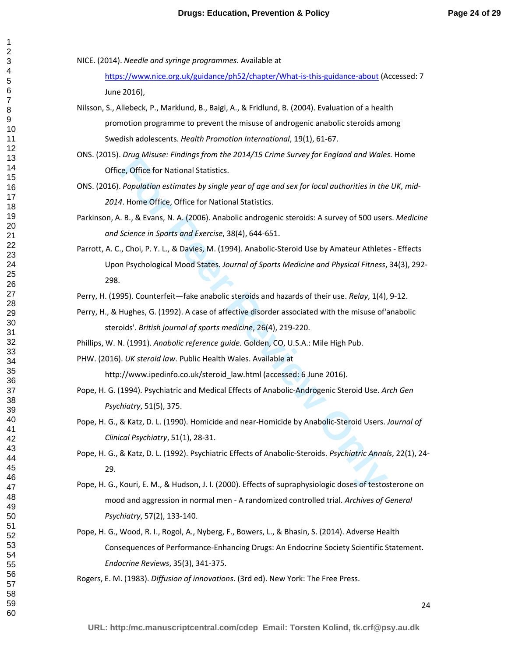NICE. (2014). *Needle and syringe programmes*. Available at

https://www.nice.org.uk/guidance/ph52/chapter/What-is-this-guidance-about (Accessed: 7 June 2016),

Nilsson, S., Allebeck, P., Marklund, B., Baigi, A., & Fridlund, B. (2004). Evaluation of a health promotion programme to prevent the misuse of androgenic anabolic steroids among Swedish adolescents. *Health Promotion International*, 19(1), 61-67.

ONS. (2015). *Drug Misuse: Findings from the 2014/15 Crime Survey for England and Wales*. Home Office, Office for National Statistics.

ONS. (2016). *Population estimates by single year of age and sex for local authorities in the UK, mid-*. Home Office, Office for National Statistics.

Parkinson, A. B., & Evans, N. A. (2006). Anabolic androgenic steroids: A survey of 500 users. *Medicine and Science in Sports and Exercise*, 38(4), 644-651.

*E. Motional Statistics.*<br> *F. Poffice for National Statistics.*<br> **F. Poffice for National Statistics.**<br> **F. Population estimates by single year of age and sex for local authorities in the A. Home Office, Office for Nation** Parrott, A. C., Choi, P. Y. L., & Davies, M. (1994). Anabolic-Steroid Use by Amateur Athletes - Effects Upon Psychological Mood States. *Journal of Sports Medicine and Physical Fitness*, 34(3), 292- 298.

Perry, H. (1995). Counterfeit—fake anabolic steroids and hazards of their use. *Relay*, 1(4), 9-12.

Perry, H., & Hughes, G. (1992). A case of affective disorder associated with the misuse of'anabolic steroids'. *British journal of sports medicine*, 26(4), 219-220.

Phillips, W. N. (1991). *Anabolic reference guide.* Golden, CO, U.S.A.: Mile High Pub.

PHW. (2016). *UK steroid law*. Public Health Wales. Available at

http://www.ipedinfo.co.uk/steroid law.html (accessed: 6 June 2016).

Pope, H. G. (1994). Psychiatric and Medical Effects of Anabolic-Androgenic Steroid Use. *Arch Gen Psychiatry*, 51(5), 375.

Pope, H. G., & Katz, D. L. (1990). Homicide and near-Homicide by Anabolic-Steroid Users. *Journal of Clinical Psychiatry*, 51(1), 28-31.

Pope, H. G., & Katz, D. L. (1992). Psychiatric Effects of Anabolic-Steroids. *Psychiatric Annals*, 22(1), 24- 29.

Pope, H. G., Kouri, E. M., & Hudson, J. I. (2000). Effects of supraphysiologic doses of testosterone on mood and aggression in normal men - A randomized controlled trial. *Archives of General Psychiatry*, 57(2), 133-140.

Pope, H. G., Wood, R. I., Rogol, A., Nyberg, F., Bowers, L., & Bhasin, S. (2014). Adverse Health Consequences of Performance-Enhancing Drugs: An Endocrine Society Scientific Statement. *Endocrine Reviews*, 35(3), 341-375.

Rogers, E. M. (1983). *Diffusion of innovations*. (3rd ed). New York: The Free Press.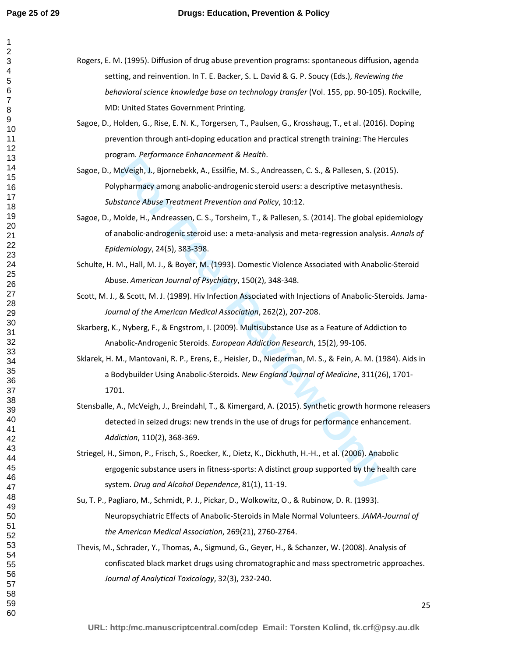| Rogers, E. M. (1995). Diffusion of drug abuse prevention programs: spontaneous diffusion, agenda |
|--------------------------------------------------------------------------------------------------|
| setting, and reinvention. In T. E. Backer, S. L. David & G. P. Soucy (Eds.), Reviewing the       |
| behavioral science knowledge base on technology transfer (Vol. 155, pp. 90-105). Rockville,      |
| MD: United States Government Printing.                                                           |

- Sagoe, D., Holden, G., Rise, E. N. K., Torgersen, T., Paulsen, G., Krosshaug, T., et al. (2016). Doping prevention through anti-doping education and practical strength training: The Hercules program. *Performance Enhancement & Health*.
- Sagoe, D., McVeigh, J., Bjornebekk, A., Essilfie, M. S., Andreassen, C. S., & Pallesen, S. (2015). Polypharmacy among anabolic-androgenic steroid users: a descriptive metasynthesis. *Substance Abuse Treatment Prevention and Policy*, 10:12.
- Sagoe, D., Molde, H., Andreassen, C. S., Torsheim, T., & Pallesen, S. (2014). The global epidemiology of anabolic-androgenic steroid use: a meta-analysis and meta-regression analysis. *Annals of Epidemiology*, 24(5), 383-398.
- Schulte, H. M., Hall, M. J., & Boyer, M. (1993). Domestic Violence Associated with Anabolic-Steroid Abuse. *American Journal of Psychiatry*, 150(2), 348-348.
- Scott, M. J., & Scott, M. J. (1989). Hiv Infection Associated with Injections of Anabolic-Steroids. Jama-*Journal of the American Medical Association*, 262(2), 207-208.

Skarberg, K., Nyberg, F., & Engstrom, I. (2009). Multisubstance Use as a Feature of Addiction to Anabolic-Androgenic Steroids. *European Addiction Research*, 15(2), 99-106.

Sklarek, H. M., Mantovani, R. P., Erens, E., Heisler, D., Niederman, M. S., & Fein, A. M. (1984). Aids in a Bodybuilder Using Anabolic-Steroids. *New England Journal of Medicine*, 311(26), 1701- 1701.

- **EVALUAT ALT SUPPLANCE CHIMATE CHANCES (2018)**<br> **Formal Confight, D. Biomebekk, A., Essiffie, M. S., Andreassen, C. S., & Pallesen, S. (2019)**<br> **Pharmacy among anabolic-androgenic steroid users: a descriptive metasynth**<br> Stensballe, A., McVeigh, J., Breindahl, T., & Kimergard, A. (2015). Synthetic growth hormone releasers detected in seized drugs: new trends in the use of drugs for performance enhancement. *Addiction*, 110(2), 368-369.
- Striegel, H., Simon, P., Frisch, S., Roecker, K., Dietz, K., Dickhuth, H.-H., et al. (2006). Anabolic ergogenic substance users in fitness-sports: A distinct group supported by the health care system. *Drug and Alcohol Dependence*, 81(1), 11-19.
- Su, T. P., Pagliaro, M., Schmidt, P. J., Pickar, D., Wolkowitz, O., & Rubinow, D. R. (1993). Neuropsychiatric Effects of Anabolic-Steroids in Male Normal Volunteers. *JAMA-Journal of the American Medical Association*, 269(21), 2760-2764.
- Thevis, M., Schrader, Y., Thomas, A., Sigmund, G., Geyer, H., & Schanzer, W. (2008). Analysis of confiscated black market drugs using chromatographic and mass spectrometric approaches. *Journal of Analytical Toxicology*, 32(3), 232-240.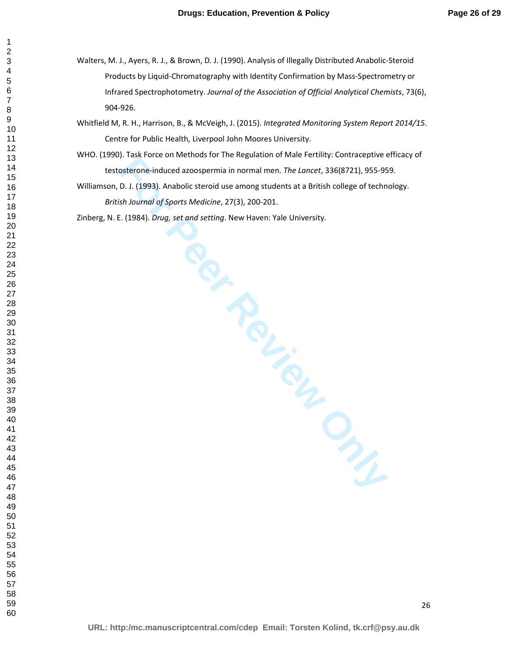- Walters, M. J., Ayers, R. J., & Brown, D. J. (1990). Analysis of Illegally Distributed Anabolic-Steroid Products by Liquid-Chromatography with Identity Confirmation by Mass-Spectrometry or Infrared Spectrophotometry. *Journal of the Association of Official Analytical Chemists*, 73(6), 904-926.
- Whitfield M, R. H., Harrison, B., & McVeigh, J. (2015). *Integrated Monitoring System Report 2014/15*. Centre for Public Health, Liverpool John Moores University.
- WHO. (1990). Task Force on Methods for The Regulation of Male Fertility: Contraceptive efficacy of testosterone-induced azoospermia in normal men. *The Lancet*, 336(8721), 955-959.
- Franchischer Christmass In the Hermannian in normal ment. The *Lanch* 336(8721), 955-95<br>
D. J. (1993). Anabolic steroid use among students at a British college of techn<br>
D. J. (1993). Anabolic steroid use among students at Williamson, D. J. (1993). Anabolic steroid use among students at a British college of technology. *British Journal of Sports Medicine*, 27(3), 200-201.

Zinberg, N. E. (1984). *Drug, set and setting*. New Haven: Yale University.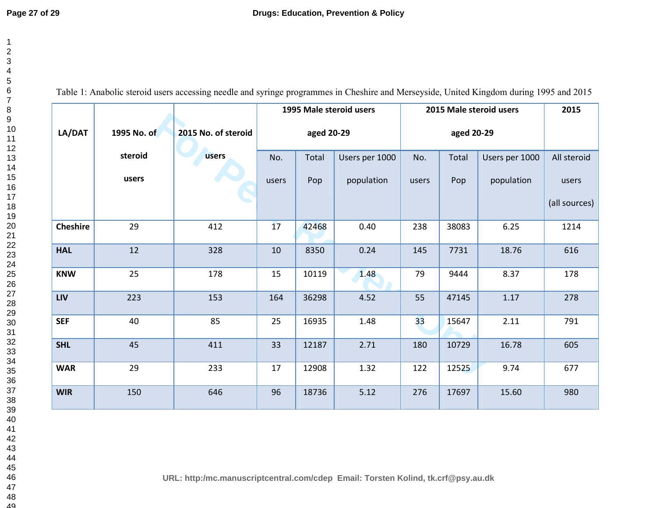Table 1: Anabolic steroid users accessing needle and syringe programmes in Cheshire and Merseyside, United Kingdom during 1995 and 2015

|                 |             |                     |       |            | 1995 Male steroid users |       |            | 2015 Male steroid users | 2015          |
|-----------------|-------------|---------------------|-------|------------|-------------------------|-------|------------|-------------------------|---------------|
| LA/DAT          | 1995 No. of | 2015 No. of steroid |       | aged 20-29 |                         |       | aged 20-29 |                         |               |
|                 | steroid     | users               | No.   | Total      | Users per 1000          | No.   | Total      | Users per 1000          | All steroid   |
|                 | users       |                     | users | Pop        | population              | users | Pop        | population              | users         |
|                 |             |                     |       |            |                         |       |            |                         | (all sources) |
| <b>Cheshire</b> | 29          | 412                 | 17    | 42468      | 0.40                    | 238   | 38083      | 6.25                    | 1214          |
| <b>HAL</b>      | 12          | 328                 | 10    | 8350       | 0.24                    | 145   | 7731       | 18.76                   | 616           |
| <b>KNW</b>      | 25          | 178                 | 15    | 10119      | 1.48                    | 79    | 9444       | 8.37                    | 178           |
| <b>LIV</b>      | 223         | 153                 | 164   | 36298      | 4.52                    | 55    | 47145      | 1.17                    | 278           |
| <b>SEF</b>      | 40          | 85                  | 25    | 16935      | 1.48                    | 33    | 15647      | 2.11                    | 791           |
| <b>SHL</b>      | 45          | 411                 | 33    | 12187      | 2.71                    | 180   | 10729      | 16.78                   | 605           |
| <b>WAR</b>      | 29          | 233                 | 17    | 12908      | 1.32                    | 122   | 12525      | 9.74                    | 677           |
| <b>WIR</b>      | 150         | 646                 | 96    | 18736      | 5.12                    | 276   | 17697      | 15.60                   | 980           |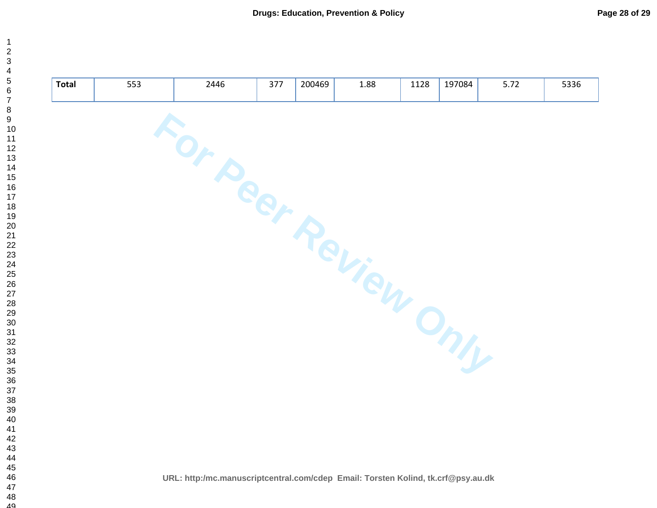| <b>Total</b> | 553 | 2446                                                                             | 377 | 200469 | 1.88 | 1128 | 197084 | 5.72 | 5336 |
|--------------|-----|----------------------------------------------------------------------------------|-----|--------|------|------|--------|------|------|
|              |     |                                                                                  |     |        |      |      |        |      |      |
|              |     |                                                                                  |     |        |      |      |        |      |      |
|              |     |                                                                                  |     |        |      |      |        |      |      |
|              |     | For Peer Review Only                                                             |     |        |      |      |        |      |      |
|              |     |                                                                                  |     |        |      |      |        |      |      |
|              |     |                                                                                  |     |        |      |      |        |      |      |
|              |     |                                                                                  |     |        |      |      |        |      |      |
|              |     |                                                                                  |     |        |      |      |        |      |      |
|              |     |                                                                                  |     |        |      |      |        |      |      |
|              |     | URL: http:/mc.manuscriptcentral.com/cdep Email: Torsten Kolind, tk.crf@psy.au.dk |     |        |      |      |        |      |      |